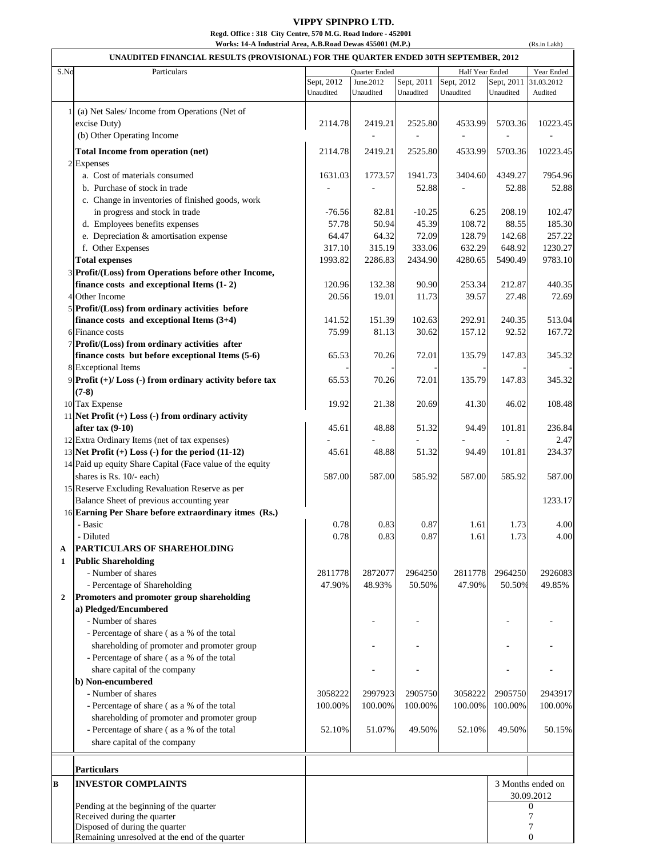## **VIPPY SPINPRO LTD.**

**Regd. Office : 318 City Centre, 570 M.G. Road Indore - 452001 Works: 14-A Industrial Area, A.B.Road Dewas 455001 (M.P.)**

|                | Works: 14-A Industrial Area, A.B.Road Dewas 455001 (M.P.)<br>(Rs.in Lakh)<br>UNAUDITED FINANCIAL RESULTS (PROVISIONAL) FOR THE QUARTER ENDED 30TH SEPTEMBER, 2012 |                                                |                   |                   |                   |                  |                   |
|----------------|-------------------------------------------------------------------------------------------------------------------------------------------------------------------|------------------------------------------------|-------------------|-------------------|-------------------|------------------|-------------------|
| S.No           | Particulars                                                                                                                                                       | Year Ended<br>Half Year Ended<br>Quarter Ended |                   |                   |                   |                  |                   |
|                |                                                                                                                                                                   | Sept, 2012                                     | June.2012         | Sept, 2011        | Sept, 2012        | Sept, 2011       | 31.03.2012        |
|                |                                                                                                                                                                   | Unaudited                                      | Unaudited         | Unaudited         | Unaudited         | Unaudited        | Audited           |
|                | 1 (a) Net Sales/Income from Operations (Net of                                                                                                                    |                                                |                   |                   |                   |                  |                   |
|                | excise Duty)                                                                                                                                                      | 2114.78                                        | 2419.21           | 2525.80           | 4533.99           | 5703.36          | 10223.45          |
|                | (b) Other Operating Income                                                                                                                                        |                                                |                   |                   |                   |                  |                   |
|                |                                                                                                                                                                   |                                                |                   |                   |                   |                  |                   |
|                | Total Income from operation (net)                                                                                                                                 | 2114.78                                        | 2419.21           | 2525.80           | 4533.99           | 5703.36          | 10223.45          |
|                | 2 Expenses                                                                                                                                                        |                                                |                   |                   |                   |                  |                   |
|                | a. Cost of materials consumed<br>b. Purchase of stock in trade                                                                                                    | 1631.03                                        | 1773.57           | 1941.73<br>52.88  | 3404.60           | 4349.27<br>52.88 | 7954.96<br>52.88  |
|                | c. Change in inventories of finished goods, work                                                                                                                  |                                                |                   |                   |                   |                  |                   |
|                | in progress and stock in trade                                                                                                                                    | $-76.56$                                       | 82.81             | $-10.25$          | 6.25              | 208.19           | 102.47            |
|                | d. Employees benefits expenses                                                                                                                                    | 57.78                                          | 50.94             | 45.39             | 108.72            | 88.55            | 185.30            |
|                | e. Depreciation & amortisation expense                                                                                                                            | 64.47                                          | 64.32             | 72.09             | 128.79            | 142.68           | 257.22            |
|                | f. Other Expenses                                                                                                                                                 | 317.10                                         | 315.19            | 333.06            | 632.29            | 648.92           | 1230.27           |
|                | <b>Total expenses</b>                                                                                                                                             | 1993.82                                        | 2286.83           | 2434.90           | 4280.65           | 5490.49          | 9783.10           |
|                | 3 Profit/(Loss) from Operations before other Income,                                                                                                              |                                                |                   |                   |                   |                  |                   |
|                | finance costs and exceptional Items (1-2)                                                                                                                         | 120.96                                         | 132.38            | 90.90             | 253.34            | 212.87           | 440.35            |
|                | 4 Other Income                                                                                                                                                    | 20.56                                          | 19.01             | 11.73             | 39.57             | 27.48            | 72.69             |
|                | 5 Profit/(Loss) from ordinary activities before                                                                                                                   |                                                |                   |                   |                   |                  |                   |
|                | finance costs and exceptional Items $(3+4)$                                                                                                                       | 141.52                                         | 151.39            | 102.63            | 292.91            | 240.35           | 513.04            |
|                | 6 Finance costs                                                                                                                                                   | 75.99                                          | 81.13             | 30.62             | 157.12            | 92.52            | 167.72            |
|                | 7 Profit/(Loss) from ordinary activities after                                                                                                                    |                                                |                   |                   |                   |                  |                   |
|                | finance costs but before exceptional Items (5-6)                                                                                                                  | 65.53                                          | 70.26             | 72.01             | 135.79            | 147.83           | 345.32            |
|                | 8 Exceptional Items                                                                                                                                               |                                                |                   |                   |                   |                  |                   |
|                | 9 Profit (+)/ Loss (-) from ordinary activity before tax                                                                                                          | 65.53                                          | 70.26             | 72.01             | 135.79            | 147.83           | 345.32            |
|                | $(7-8)$                                                                                                                                                           |                                                |                   |                   |                   |                  |                   |
|                | 10 Tax Expense                                                                                                                                                    | 19.92                                          | 21.38             | 20.69             | 41.30             | 46.02            | 108.48            |
|                | 11 Net Profit $(+)$ Loss $(-)$ from ordinary activity                                                                                                             |                                                |                   |                   |                   |                  |                   |
|                | after $tax(9-10)$                                                                                                                                                 | 45.61                                          | 48.88             | 51.32             | 94.49             | 101.81           | 236.84            |
|                | 12 Extra Ordinary Items (net of tax expenses)                                                                                                                     |                                                |                   |                   |                   |                  | 2.47              |
|                | 13 Net Profit $(+)$ Loss $(-)$ for the period $(11-12)$                                                                                                           | 45.61                                          | 48.88             | 51.32             | 94.49             | 101.81           | 234.37            |
|                | 14 Paid up equity Share Capital (Face value of the equity                                                                                                         |                                                |                   |                   |                   |                  |                   |
|                | shares is Rs. 10/- each)                                                                                                                                          | 587.00                                         | 587.00            | 585.92            | 587.00            | 585.92           | 587.00            |
|                | 15 Reserve Excluding Revaluation Reserve as per                                                                                                                   |                                                |                   |                   |                   |                  |                   |
|                | Balance Sheet of previous accounting year                                                                                                                         |                                                |                   |                   |                   |                  | 1233.17           |
|                | 16 Earning Per Share before extraordinary itmes (Rs.)                                                                                                             |                                                |                   |                   |                   |                  |                   |
|                | - Basic                                                                                                                                                           | 0.78                                           | 0.83              | $0.87\,$          | 1.61              | 1.73             | 4.00              |
|                | - Diluted                                                                                                                                                         | 0.78                                           | 0.83              | 0.87              | 1.61              | 1.73             | 4.00              |
| A              | PARTICULARS OF SHAREHOLDING                                                                                                                                       |                                                |                   |                   |                   |                  |                   |
| 1              | <b>Public Shareholding</b>                                                                                                                                        |                                                |                   |                   |                   | 2964250          |                   |
|                | - Number of shares<br>- Percentage of Shareholding                                                                                                                | 2811778<br>47.90%                              | 2872077<br>48.93% | 2964250<br>50.50% | 2811778<br>47.90% | 50.50%           | 2926083<br>49.85% |
| $\overline{2}$ | Promoters and promoter group shareholding                                                                                                                         |                                                |                   |                   |                   |                  |                   |
|                | a) Pledged/Encumbered                                                                                                                                             |                                                |                   |                   |                   |                  |                   |
|                | - Number of shares                                                                                                                                                |                                                |                   |                   |                   |                  |                   |
|                | - Percentage of share (as a % of the total                                                                                                                        |                                                |                   |                   |                   |                  |                   |
|                | shareholding of promoter and promoter group                                                                                                                       |                                                |                   |                   |                   |                  |                   |
|                | - Percentage of share (as a % of the total                                                                                                                        |                                                |                   |                   |                   |                  |                   |
|                | share capital of the company                                                                                                                                      |                                                |                   |                   |                   |                  |                   |
|                | b) Non-encumbered                                                                                                                                                 |                                                |                   |                   |                   |                  |                   |
|                | - Number of shares                                                                                                                                                | 3058222                                        | 2997923           | 2905750           | 3058222           | 2905750          | 2943917           |
|                | - Percentage of share (as a % of the total                                                                                                                        | 100.00%                                        | 100.00%           | 100.00%           | 100.00%           | 100.00%          | 100.00%           |
|                | shareholding of promoter and promoter group                                                                                                                       |                                                |                   |                   |                   |                  |                   |
|                | - Percentage of share (as a % of the total                                                                                                                        | 52.10%                                         | 51.07%            | 49.50%            | 52.10%            | 49.50%           | 50.15%            |
|                | share capital of the company                                                                                                                                      |                                                |                   |                   |                   |                  |                   |
|                |                                                                                                                                                                   |                                                |                   |                   |                   |                  |                   |
|                | <b>Particulars</b>                                                                                                                                                |                                                |                   |                   |                   |                  |                   |
| B              | <b>INVESTOR COMPLAINTS</b>                                                                                                                                        |                                                |                   |                   |                   |                  | 3 Months ended on |
|                |                                                                                                                                                                   |                                                |                   |                   |                   |                  | 30.09.2012        |
|                | Pending at the beginning of the quarter                                                                                                                           |                                                |                   |                   |                   |                  | 0                 |
|                | Received during the quarter<br>Disposed of during the quarter                                                                                                     |                                                |                   |                   |                   |                  | 7<br>7            |
|                | Remaining unresolved at the end of the quarter                                                                                                                    |                                                |                   |                   |                   |                  | $\boldsymbol{0}$  |
|                |                                                                                                                                                                   |                                                |                   |                   |                   |                  |                   |